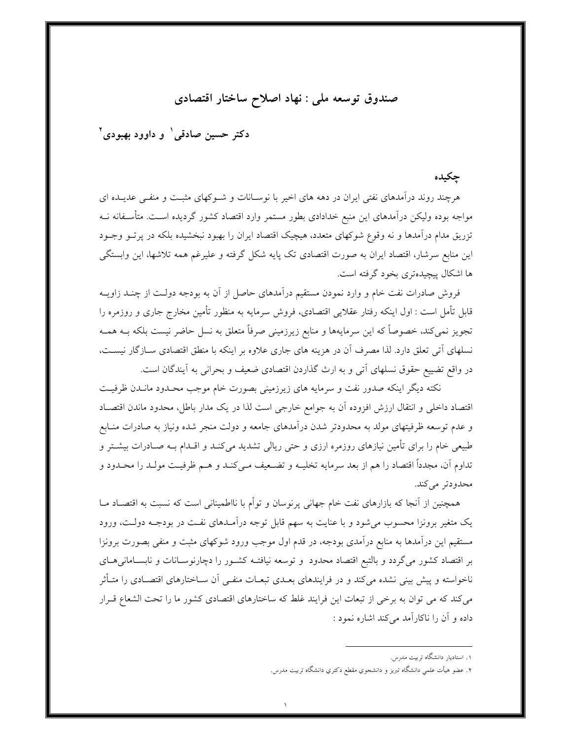صندوق توسعه ملي : نهاد اصلاح ساختار اقتصادي

دکتر حسین صادقی ٰ و داوود بهبودی ٔ

جكىدە

هرچند روند درآمدهای نفتی ایران در دهه های اخیر با نوسـانات و شـوکهای مثبـت و منفـی عدیـده ای مواجه بوده ولیکن درآمدهای این منبع خدادادی بطور مستمر وارد اقتصاد کشور گردیده اسـت. متأسـفانه نــه تزریق مدام درآمدها و نه وقوع شوکهای متعدد، هیچیک اقتصاد ایران را بهبود نبخشیده بلکه در پرتــو وجــود این منابع سرشار، اقتصاد ایران به صورت اقتصادی تک پایه شکل گرفته و علیرغم همه تلاشها، این وابستگی ها اشکال پیچیدهتری بخود گرفته است.

فروش صادرات نفت خام و وارد نمودن مستقیم درآمدهای حاصل از آن به بودجه دولت از چنـد زاویــه قابل تأمل است : اول اینکه رفتار عقلایی اقتصادی، فروش سرمایه به منظور تأمین مخارج جاری و روزمره را تجویز نمی کند، خصوصاً که این سرمایهها و منابع زیرزمینی صرفاً متعلق به نسل حاضر نیست بلکه بــه همــه نسلهای اّتی تعلق دارد. لذا مصرف آن در هزینه های جاری علاوه بر اینکه با منطق اقتصادی سـازگار نیسـت، در واقع تضییع حقوق نسلهای آتی و به ارث گذاردن اقتصادی ضعیف و بحرانی به آیندگان است.

نکته دیگر اینکه صدور نفت و سرمایه های زیرزمینی بصورت خام موجب محـدود مانــدن ظرفیــت اقتصاد داخلی و انتقال ارزش افزوده آن به جوامع خارجی است لذا در یک مدار باطل، محدود ماندن اقتصـاد و عدم توسعه ظرفیتهای مولد به محدودتر شدن درآمدهای جامعه و دولت منجر شده ونیاز به صادرات منـابع طبیعی خام را برای تأمین نیازهای روزمره ارزی و حتی ریالی تشدید میکنـد و اقــدام بــه صــادرات بیشــتر و تداوم آن، مجدداً اقتصاد را هم از بعد سرمايه تخليــه و تضــعيف مــىکنــد و هــم ظرفيــت مولــد را محــدود و محدودتر مي كند.

همچنین از آنجا که بازارهای نفت خام جهانی پرنوسان و توأم با نااطمینانی است که نسبت به اقتصـاد مــا یک متغیر برونزا محسوب میشود و با عنایت به سهم قابل توجه درآمـدهای نفـت در بودجـه دولـت، ورود مستقیم این درآمدها به منابع درآمدی بودجه، در قدم اول موجب ورود شوکهای مثبت و منفی بصورت برونزا بر اقتصاد کشور میگردد و بالتبع اقتصاد محدود و توسعه نیافتـه کشـور را دچارنوسـانات و نابسـامانی۵حـای ناخواسته و پیش بینی نشده میکند و در فرایندهای بعـدی تبعـات منفــی آن ســاختارهای اقتصــادی را متــأثر می کند که می توان به برخی از تبعات این فرایند غلط که ساختارهای اقتصادی کشور ما را تحت الشعاع قـرار داده و آن را ناکار آمد می کند اشاره نمود :

۱. استادیار دانشگاه تربیت مدرس.

۲. عضو هیأت علمی دانشگاه تبریز و دانشجوی مقطع دکتری دانشگاه تربیت مدرس.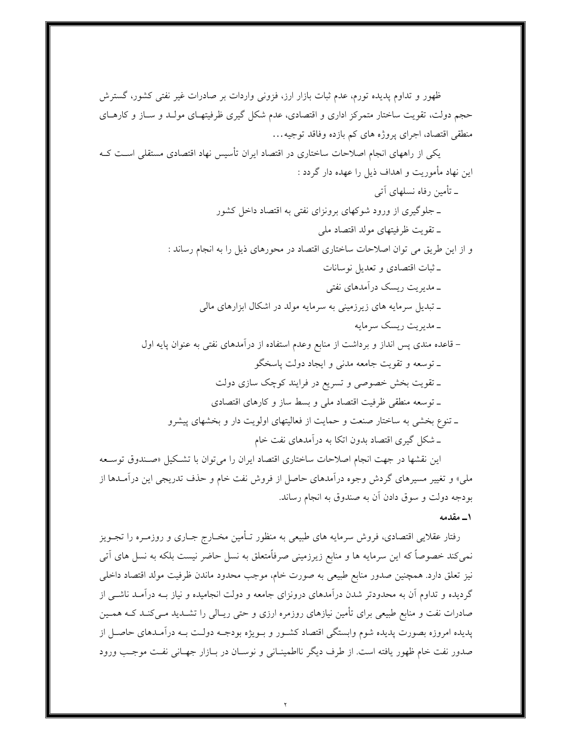ظهور و تداوم پدیده تورم، عدم ثبات بازار ارز، فزونی واردات بر صادرات غیر نفتی کشور، گسترش حجم دولت، تقویت ساختار متمرکز اداری و اقتصادی، عدم شکل گیری ظرفیتهـای مولـد و سـاز و کارهـای منطقی اقتصاد، اجرای پروژه های کم بازده وفاقد توجیه… یکی از راههای انجام اصلاحات ساختاری در اقتصاد ایران تأسیس نهاد اقتصادی مستقلی اسـت کــه این نهاد مأموریت و اهداف ذیل را عهده دار گردد : ۔ تأمین رفاہ نسلھای اَتی ـ جلوگیری از ورود شوکهای برونزای نفتی به اقتصاد داخل کشور ـ تقويت ظرفيتهاى مولد اقتصاد ملي و از این طریق می توان اصلاحات ساختاری اقتصاد در محورهای ذیل را به انجام رساند : ـ ثبات اقتصادي و تعديل نوسانات ــ مدیریت ریسک درآمدهای نفتی ـ تبدیل سرمایه های زیرزمینی به سرمایه مولد در اشکال ابزارهای مالی ۔ مدیریت ریسک سرمایه – قاعده مندی پس انداز و برداشت از منابع وعدم استفاده از درآمدهای نفتی به عنوان پایه اول ـ توسعه و تقويت جامعه مدنى و ايجاد دولت پاسخگو ـ تقویت بخش خصوصی و تسریع در فرایند کوچک سازی دولت ـ توسعه منطقى ظرفيت اقتصاد ملى و بسط ساز و كارهاى اقتصادى ـ تنوع بخشی به ساختار صنعت و حمایت از فعالیتهای اولویت دار و بخشهای پیشرو ـ شکل گیری اقتصاد بدون اتکا به درآمدهای نفت خام این نقشها در جهت انجام اصلاحات ساختاری اقتصاد ایران را می توان با تشکیل «صـندوق توسـعه

ملي» و تغيير مسيرهاي گردش وجوه درآمدهاي حاصل از فروش نفت خام و حذف تدريجي اين درآمـدها از بودجه دولت و سوق دادن أن به صندوق به انجام رساند.

۱\_ مقدمه

رفتار عقلایی اقتصادی، فروش سرمایه های طبیعی به منظور تـأمین مخـارج جـاری و روزمـره را تجـویز نمیکند خصوصاً که این سرمایه ها و منابع زیرزمینی صرفاًمتعلق به نسل حاضر نیست بلکه به نسل های آتی نیز تعلق دارد. همچنین صدور منابع طبیعی به صورت خام، موجب محدود ماندن ظرفیت مولد اقتصاد داخلی گردیده و تداوم آن به محدودتر شدن درآمدهای درونزای جامعه و دولت انجامیده و نیاز بـه درآمـد ناشــی از صادرات نفت و منابع طبیعی برای تأمین نیازهای روزمره ارزی و حتی ریـالی را تشــدید مــیکنــد کــه همــین پدیده امروزه بصورت پدیده شوم وابستگی اقتصاد کشـور و بـویژه بودجـه دولـت بـه درآمـدهای حاصـل از صدور نفت خام ظهور یافته است. از طرف دیگر نااطمینـانی و نوسـان در بـازار جهـانی نفـت موجـب ورود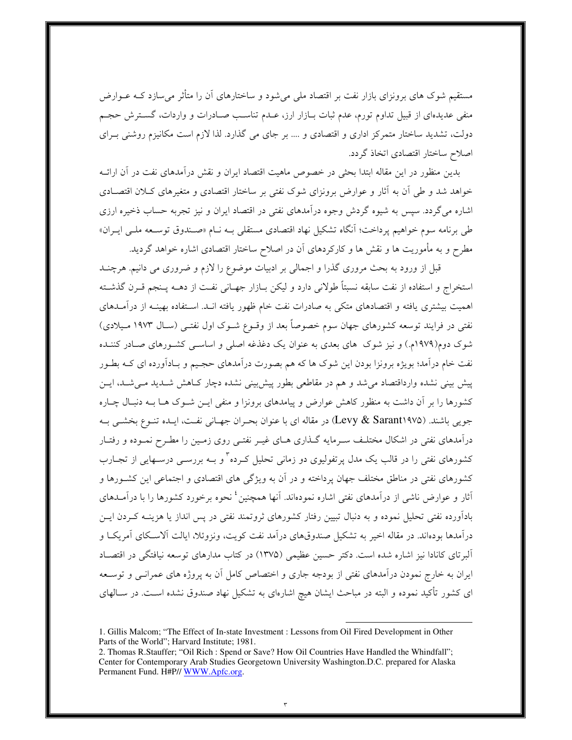مستقیم شوک های برونزای بازار نفت بر اقتصاد ملی میشود و ساختارهای آن را متأثر می سازد کــه عــوارض منفی عدیدهای از قبیل تداوم تورم، عدم ثبات بــازار ارز، عــدم تناســب صــادرات و واردات، گســتر ش حجــم دولت، تشدید ساختار متمرکز اداری و اقتصادی و …. بر جای می گذارد. لذا لازم است مکانیزم روشنی بـرای اصلاح ساختار اقتصادي اتخاذ گردد.

بدین منظور در این مقاله ابتدا بحثی در خصوص ماهیت اقتصاد ایران و نقش درآمدهای نفت در آن ارائــه خواهد شد و طی اّن به اّثار و عوارض برونزای شوک نفتی بر ساختار اقتصادی و متغیرهای کـلان اقتصـادی اشاره می گردد. سپس به شیوه گردش وجوه درآمدهای نفتی در اقتصاد ایران و نیز تجربه حساب ذخیره ارزی طی برنامه سوم خواهیم پرداخت؛ آنگاه تشکیل نهاد اقتصادی مستقل<sub>ی</sub> بـه نــام «صـندوق توســعه ملــی ایــران» مطرح و به مأموریت ها و نقش ها و کارکردهای آن در اصلاح ساختار اقتصادی اشاره خواهد گردید.

قبل از ورود به بحث مروری گذرا و اجمالی بر ادبیات موضوع را لازم و ضروری می دانیم. هرچنــد استخراج و استفاده از نفت سابقه نسبتاً طولانی دارد و لیکن بــازار جهــانی نفــت از دهــه پــنجم قــرن گذشــته اهمیت بیشتری یافته و اقتصادهای متکی به صادرات نفت خام ظهور یافته انـد. اسـتفاده بهینــه از درآمــدهای نفتی در فرایند توسعه کشورهای جهان سوم خصوصاً بعد از وقـوع شـوک اول نفتـی (سـال ۱۹۷۳ مـیلادی) شوک دوم(۱۹۷۹م.) و نیز شوک ِ های بعدی به عنوان یک دغذغه اصلی و اساســی کشــورهای صــادر کننــده نفت خام درأمد؛ بویژه برونزا بودن این شوک ها که هم بصورت درأمدهای حجـیم و بـادأورده ای کــه بطــور پیش بینی نشده وارداقتصاد می شد و هم در مقاطعی بطور پیش بینی نشده دچار کـاهش شـدید مـی شـد، ایــن کشورها را بر آن داشت به منظور کاهش عوارض و پیامدهای برونزا و منفی ایــن شــوک هــا بــه دنبـال چــاره جویی باشند. (Levy & Sarant۱۹۷۵) در مقاله ای با عنوان بحـران جهـانی نفـت، ایـده تنــوع بخشــی بــه درآمدهای نفتی در اشکال مختلـف سـرمایه گـذاری هـای غیـر نفتـی روی زمـین را مطـرح نمـوده و رفتـار کشورهای نفتی را در قالب یک مدل پرتفولیوی دو زمانی تحلیل کـرده<sup>۳</sup>و بــه بررســی درســهایی از تجــارب کشورهای نفتی در مناطق مختلف جهان پرداخته و در آن به ویژگی های اقتصادی و اجتماعی این کشـورها و آثار و عوارض ناشی از درآمدهای نفتی اشاره نمودهاند. آنها همچنین<sup>؛</sup> نحوه برخورد کشورها را با درآمــدهای بادآورده نفتی تحلیل نموده و به دنبال تبیین رفتار کشورهای ثروتمند نفتی در پس انداز یا هزینــه کــردن ایــن درآمدها بودهاند. در مقاله اخیر به تشکیل صندوقهای درآمد نفت کویت، ونزوئلا، ایالت آلاسـکای آمریکـا و آلبرتای کانادا نیز اشاره شده است. دکتر حسین عظیمی (۱۳۷۵) در کتاب مدارهای توسعه نیافتگی در اقتصـاد ایران به خارج نمودن درآمدهای نفتی از بودجه جاری و اختصاص کامل آن به پروژه های عمرانـی و توســعه ای کشور تأکید نموده و البته در مباحث ایشان هیچ اشارهای به تشکیل نهاد صندوق نشده اسـت. در ســالهای

<sup>1.</sup> Gillis Malcom: "The Effect of In-state Investment : Lessons from Oil Fired Development in Other Parts of the World"; Harvard Institute; 1981.

<sup>2.</sup> Thomas R.Stauffer; "Oil Rich : Spend or Save? How Oil Countries Have Handled the Whindfall": Center for Contemporary Arab Studies Georgetown University Washington.D.C. prepared for Alaska Permanent Fund. H#P// WWW.Apfc.org.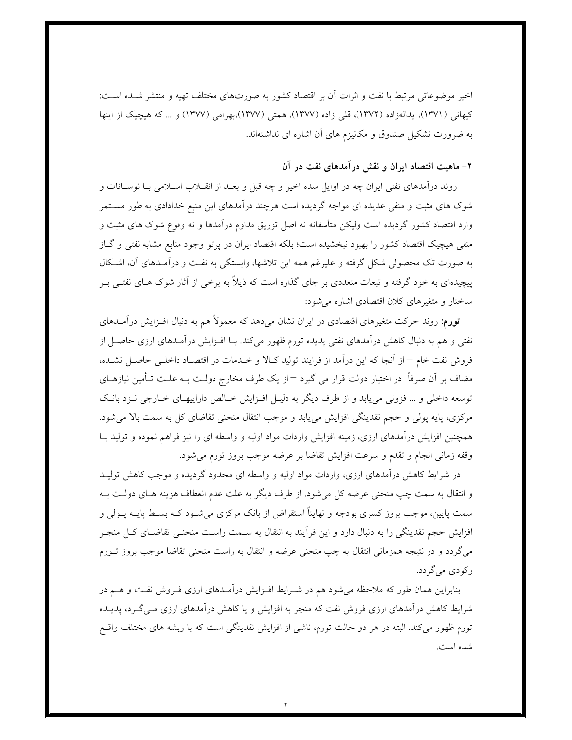اخیر موضوعاتی مرتبط با نفت و اثرات آن بر اقتصاد کشور به صورتهای مختلف تهیه و منتشر شـده اسـت: کیهانی (۱۳۷۱)، یدالەزاده (۱۳۷۲)، قلبی زاده (۱۳۷۷)، همتی (۱۳۷۷)،بهرامی (۱۳۷۷) و … که هیچیک از اینها به ضرورت تشکیل صندوق و مکانیزم های آن اشاره ای نداشتهاند.

## ۲- ماهیت اقتصاد ایران و نقش درآمدهای نفت در آن

روند درآمدهای نفتی ایران چه در اوایل سده اخیر و چه قبل و بعـد از انقــلاب اســلامی بــا نوســانات و شوک های مثبت و منفی عدیده ای مواجه گردیده است هرچند درآمدهای این منبع خدادادی به طور مســتمر وارد اقتصاد کشور گردیده است ولیکن متأسفانه نه اصل تزریق مداوم درآمدها و نه وقوع شوک های مثبت و منفی هیچیک اقتصاد کشور را بهبود نبخشیده است؛ بلکه اقتصاد ایران در پرتو وجود منابع مشابه نفتی و گـاز به صورت تک محصولی شکل گرفته و علیرغم همه این تلاشها، وابستگی به نفـت و درآمـدهای آن، اشـکال پیچیدهای به خود گرفته و تبعات متعددی بر جای گذاره است که ذیلاً به برخی از آثار شوک هـای نفتـی بـر ساختار و متغیرهای کلان اقتصادی اشاره می شود:

**تورم:** روند حرکت متغیرهای اقتصادی در ایران نشان میدهد که معمولاً هم به دنبال افــزایش درآمــدهای نفتی و هم به دنبال کاهش درآمدهای نفتی پدیده تورم ظهور میکند. بـا افــزایش درآمــدهای ارزی حاصــل از فروش نفت خام −از آنجا که این درآمد از فرایند تولید کـالا و خـدمات در اقتصـاد داخلـی حاصـل نشـده، مضاف بر آن صرفاً در اختیار دولت قرار می گیرد <sup>—</sup>از یک طرف مخارج دولـت بــه علــت تــأمین نیازهــای توسعه داخلی و … فزونی می یابد و از طرف دیگر به دلیـل افـزایش خـالص داراییهـای خـارجی نــزد بانـک مرکزی، پایه پولی و حجم نقدینگی افزایش می پابد و موجب انتقال منحنی تقاضای کل به سمت بالا می شود. همچنین افزایش درآمدهای ارزی، زمینه افزایش واردات مواد اولیه و واسطه ای را نیز فراهم نموده و تولید بــا وقفه زمانی انجام و تقدم و سرعت افزایش تقاضا بر عرضه موجب بروز تورم میشود.

در شرایط کاهش درآمدهای ارزی، واردات مواد اولیه و واسطه ای محدود گردیده و موجب کاهش تولیـد و انتقال به سمت چپ منحنی عرضه کل می شود. از طرف دیگر به علت عدم انعطاف هزینه هـای دولـت بــه سمت پایین، موجب بروز کسری بودجه و نهایتاً استقراض از بانک مرکزی میشـود کــه بســط پایــه پــولی و افزایش حجم نقدینگی را به دنبال دارد و این فرآیند به انتقال به سـمت راسـت منحنـی تقاضـای کـل منجـر می گردد و در نتیجه همزمانی انتقال به چپ منحنی عرضه و انتقال به راست منحنی تقاضا موجب بروز تــورم رکودی می گردد.

بنابراین همان طور که ملاحظه میشود هم در شـرایط افـزایش درآمـدهای ارزی فـروش نفـت و هـم در شرایط کاهش درآمدهای ارزی فروش نفت که منجر به افزایش و یا کاهش درآمدهای ارزی مــی گــرد، یدیــده تورم ظهور می کند. البته در هر دو حالت تورم، ناشی از افزایش نقدینگی است که با ریشه های مختلف واقسع شده است.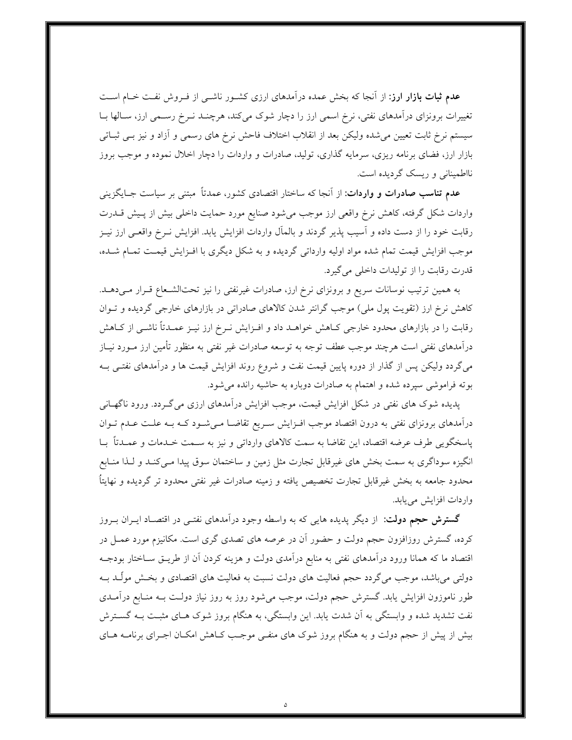**عدم ثبات بازار ارز**: از آنجا که بخش عمده درآمدهای ارزی کشـور ناشـی از فـروش نفـت خـام اسـت تغییرات برونزای درآمدهای نفتی، نرخ اسمی ارز را دچار شوک میکند، هرچنــد نــرخ رســمی ارز، ســالها بــا سیستم نرخ ثابت تعیین می شده ولیکن بعد از انقلاب اختلاف فاحش نرخ های رسمی و آزاد و نیز بـی ثبــاتی بازار ارز، فضای برنامه ریزی، سرمایه گذاری، تولید، صادرات و واردات را دچار اخلال نموده و موجب بروز نااطمینانی و ریسک گردیده است.

**عدم تناسب صادرات و واردات**: از اّنجا که ساختار اقتصادی کشور، عمدتاً مبتنی بر سیاست جــایگزینی واردات شکل گرفته، کاهش نرخ واقعی ارز موجب میشود صنایع مورد حمایت داخلی بیش از پـیش قــدرت رقابت خود را از دست داده و آسیب پذیر گردند و بالمآل واردات افزایش یابد. افزایش نــرخ واقعــی ارز نیــز موجب افزایش قیمت تمام شده مواد اولیه وارداتی گردیده و به شکل دیگری با افـزایش قیمـت تمـام شـده، قدرت رقابت را از تولیدات داخلی میگیرد.

به همین ترتیب نوسانات سریع و برونزای نرخ ارز، صادرات غیرنفتی را نیز تحتالشـعاع قـرار مـیدهــد. کاهش نرخ ارز (تقویت پول ملی) موجب گرانتر شدن کالاهای صادراتی در بازارهای خارجی گردیده و تـوان رقابت را در بازارهای محدود خارجی کـاهش خواهــد داد و افــزایش نــرخ ارز نیــز عمــدتاً ناشــی از کــاهش درآمدهای نفتی است هرچند موجب عطف توجه به توسعه صادرات غیر نفتی به منظور تأمین ارز مــورد نیــاز میگردد ولیکن پس از گذار از دوره پایین قیمت نفت و شروع روند افزایش قیمت ها و درآمدهای نفتـی بــه بوته فراموشی سیرده شده و اهتمام به صادرات دوباره به حاشیه رانده می شود.

پدیده شوک های نفتی در شکل افزایش قیمت، موجب افزایش درآمدهای ارزی می گـردد. ورود ناگهـانی درآمدهای برونزای نفتی به درون اقتصاد موجب افـزایش سـریع تقاضـا مـیشـود کـه بـه علـت عـدم تـوان ياسخگويي طرف عرضه اقتصاد، اين تقاضا به سمت كالاهاي وارداتي و نيز به سـمت خـدمات و عمـدتاً بــا انگیزه سوداگری به سمت بخش های غیرقابل تجارت مثل زمین و ساختمان سوق پیدا مـیکنـد و لـذا منـابع محدود جامعه به بخش غیرقابل تجارت تخصیص یافته و زمینه صادرات غیر نفتی محدود تر گردیده و نهایتاً واردات افزايش مي يابد.

**گسترش حجم دولت**: از دیگر پدیده هایی که به واسطه وجود درآمدهای نفتـی در اقتصـاد ایــران بــروز کرده، گسترش روزافزون حجم دولت و حضور آن در عرصه های تصدی گری است. مکانیزم مورد عمـل در اقتصاد ما که همانا ورود درآمدهای نفتی به منابع درآمدی دولت و هزینه کردن آن از طریــق ســاختار بودجــه دولتی میباشد، موجب میگردد حجم فعالیت های دولت نسبت به فعالیت های اقتصادی و بخـش مولّــد بــه طور ناموزون افزایش یابد. گسترش حجم دولت، موجب می شود روز به روز نیاز دولـت بـه منـابع درآمـدی نفت تشدید شده و وابستگی به آن شدت یابد. این وابستگی، به هنگام بروز شوک هـای مثبـت بــه گســترش بیش از پیش از حجم دولت و به هنگام بروز شوک های منفـی موجـب کـاهش امکـان اجـرای برنامــه هــای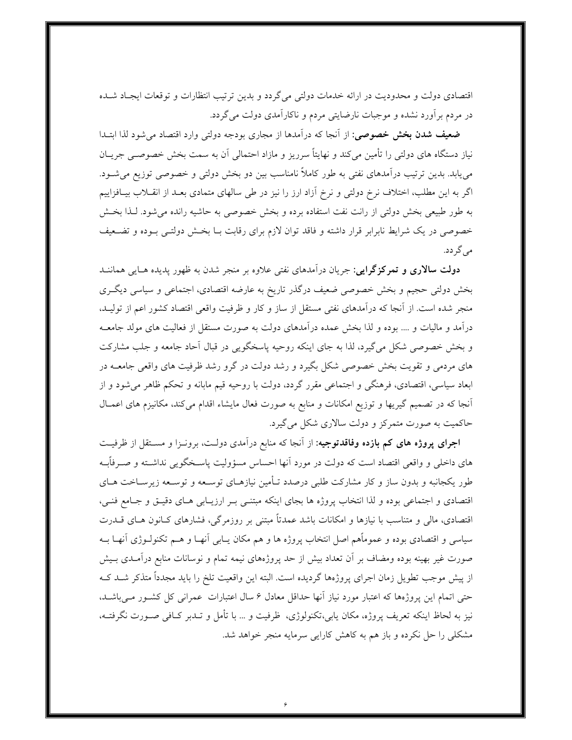اقتصادی دولت و محدودیت در ارائه خدمات دولتی میگردد و بدین ترتیب انتظارات و توقعات ایجـاد شــده در مردم برآورد نشده و موجبات نارضایتی مردم و ناکارآمدی دولت می گردد.

**ضعیف شدن بخش خصوصی:** از آنجا که درآمدها از مجاری بودجه دولتی وارد اقتصاد می شود لذا ابتـدا نیاز دستگاه های دولتی را تأمین میکند و نهایتاً سرریز و مازاد احتمالی آن به سمت بخش خصوصـی جریــان می،یابد. بدین ترتیب درآمدهای نفتی به طور کاملاً نامناسب بین دو بخش دولتی و خصوصی توزیع میشـود. اگر به این مطلب، اختلاف نرخ دولتی و نرخ آزاد ارز را نیز در طی سالهای متمادی بعـد از انقــلاب بیــافزاییم به طور طبیعی بخش دولتی از رانت نفت استفاده برده و بخش خصوصی به حاشیه رانده می شود. لـذا بخـش خصوصی در یک شرایط نابرابر قرار داشته و فاقد توان لازم برای رقابت بـا بخـش دولتـی بـوده و تضـعیف می گر دد.

**دولت سالاری و تمرکزگرایی**: جریان درآمدهای نفتی علاوه بر منجر شدن به ظهور پدیده هـایی هماننــد بخش دولتی حجیم و بخش خصوصی ضعیف درگذر تاریخ به عارضه اقتصادی، اجتماعی و سیاسی دیگـری منجر شده است. از آنجا که درآمدهای نفتی مستقل از ساز و کار و ظرفیت واقعی اقتصاد کشور اعم از تولیـد، درآمد و مالیات و …. بوده و لذا بخش عمده درآمدهای دولت به صورت مستقل از فعالیت های مولد جامعــه و بخش خصوصی شکل میگیرد، لذا به جای اینکه روحیه پاسخگویی در قبال آحاد جامعه و جلب مشارکت های مردمی و تقویت بخش خصوصی شکل بگیرد و رشد دولت در گرو رشد ظرفیت های واقعی جامعــه در ابعاد سیاسی، اقتصادی، فرهنگی و اجتماعی مقرر گردد، دولت با روحیه قیم مابانه و تحکم ظاهر می شود و از آنجا که در تصمیم گیریها و توزیع امکانات و منابع به صورت فعال مایشاء اقدام میکند، مکانیزم های اعمـال حاکمیت به صورت متمرکز و دولت سالاری شکل میگیرد.

**اجرای پروژه های کم بازده وفاقدتوجیه**: از آنجا که منابع درآمدی دولت، برونوا و مستقل از ظرفیت های داخلی و واقعی اقتصاد است که دولت در مورد آنها احساس مسؤولیت پاسـخگویی نداشــته و صــرفأبــه طور یکجانبه و بدون ساز و کار مشارکت طلبی درصدد تـأمین نیازهـای توسـعه و توسـعه زیرسـاخت هـای اقتصادی و اجتماعی بوده و لذا انتخاب پروژه ها بجای اینکه مبتنـی بـر ارزیـابی هـای دقیـق و جـامع فنـی، اقتصادی، مالی و متناسب با نیازها و امکانات باشد عمدتاً مبتنی بر روزمرگی، فشارهای کـانون هـای قــدرت سیاسی و اقتصادی بوده و عموماًهم اصل انتخاب پروژه ها و هم مکان پـابی آنهـا و هــم تکنولــوژی آنهـا بــه صورت غیر بهینه بوده ومضاف بر آن تعداد بیش از حد پروژههای نیمه تمام و نوسانات منابع درآمـدی بـیش از پیش موجب تطویل زمان اجرای پروژهها گردیده است. البته این واقعیت تلخ را باید مجدداً متذکر شـد کــه حتی اتمام این پروژهها که اعتبار مورد نیاز آنها حداقل معادل ۶ سال اعتبارات عمرانی کل کشـور مـی باشـد، نیز به لحاظ اینکه تعریف پروژه، مکان یابی،تکنولوژی، ظرفیت و … با تأمل و تـدبر کـافی صـورت نگرفتـه، مشکلی را حل نکرده و باز هم به کاهش کارایی سرمایه منجر خواهد شد.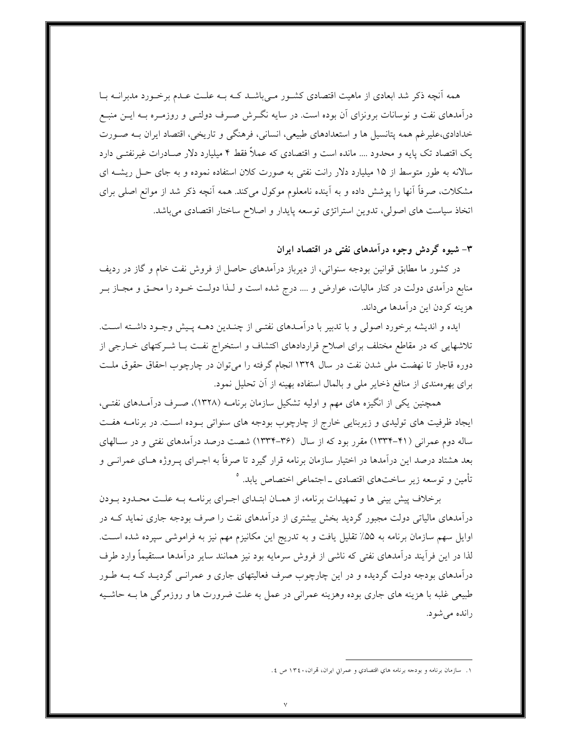همه أنچه ذکر شد ابعادی از ماهیت اقتصادی کشـور مـیباشـد کـه بـه علـت عـدم برخـورد مدبرانــه بــا درآمدهای نفت و نوسانات برونزای آن بوده است. در سایه نگـرش صـرف دولتـی و روزمـره بــه ایــن منبــع خدادادی،علیرغم همه یتانسیل ها و استعدادهای طبیعی، انسانی، فرهنگی و تاریخی، اقتصاد ایران بـه صـورت یک اقتصاد تک پایه و محدود …. مانده است و اقتصادی که عملاً فقط ۴ میلیارد دلار صـادرات غیرنفتــی دارد سالانه به طور متوسط از ۱۵ میلیارد دلار رانت نفتی به صورت کلان استفاده نموده و به جای حـل ریشــه ای مشکلات، صرفاً آنها را پوشش داده و به آینده نامعلوم موکول میکند. همه آنچه ذکر شد از موانع اصلی برای اتخاذ سیاست های اصولی، تدوین استراتژی توسعه پایدار و اصلاح ساختار اقتصادی میباشد.

## ۳– شیوه گردش وجوه درآمدهای نفتی در اقتصاد ایران

در کشور ما مطابق قوانین بودجه سنواتی، از دیرباز درآمدهای حاصل از فروش نفت خام و گاز در ردیف منابع درآمدی دولت در کنار مالیات، عوارض و …. درج شده است و لـذا دولـت خــود را محــق و مجــاز بــر هزينه كردن اين درآمدها مىداند.

ايده و انديشه برخورد اصولي و با تدبير با درآمـدهاي نفتـي از چنـدين دهــه پـيش وجـود داشـته اسـت. تلاشهایی که در مقاطع مختلف برای اصلاح قراردادهای اکتشاف و استخراج نفت بـا شـرکتهای خــارجی از دوره قاجار تا نهضت ملي شدن نفت در سال ١٣٢٩ انجام گرفته را مي توان در چارچوب احقاق حقوق ملـت برای بهرهمندی از منافع ذخایر ملی و بالمال استفاده بهینه از آن تحلیل نمود.

همچنین یکی از انگیزه های مهم و اولیه تشکیل سازمان برنامـه (۱۳۲۸)، صـرف درآمـدهای نفتـی، ایجاد ظرفیت های تولیدی و زیربنایی خارج از چارچوب بودجه های سنواتی بـوده اسـت. در برنامــه هفـت ساله دوم عمرانی (۴۱-۱۳۳۴) مقرر بود که از سال (۳۶-۱۳۳۴) شصت درصد درآمدهای نفتی و در سـالهای بعد هشتاد درصد این درآمدها در اختیار سازمان برنامه قرار گیرد تا صرفاً به اجـرای پــروژه هــای عمرانــی و .<br>تأمين و توسعه زير ساختهاي اقتصادي ـ اجتماعي اختصاص يابد. °

برخلاف پیش بینی ها و تمهیدات برنامه، از همـان ابتـدای اجـرای برنامـه بـه علـت محـدود بـودن درآمدهای مالیاتی دولت مجبور گردید بخش بیشتری از درآمدهای نفت را صرف بودجه جاری نماید کـه در اوایل سهم سازمان برنامه به ۵۵٪ تقلیل یافت و به تدریج این مکانیزم مهم نیز به فراموشی سپرده شده است. لذا در این فرآیند درآمدهای نفتی که ناشی از فروش سرمایه بود نیز همانند سایر درآمدها مستقیماً وارد طرف درآمدهای بودجه دولت گردیده و در این چارچوب صرف فعالیتهای جاری و عمرانـبی گردیــد کــه بــه طــور طبیعی غلبه با هزینه های جاری بوده وهزینه عمرانی در عمل به علت ضرورت ها و روزمرگی ها بــه حاشــیه رانده می شود.

١. سازمان برنامه و بودجه برنامه هاي اقتصادي و عمراني ايران، تمران، ١٣٤٠ ص ٤.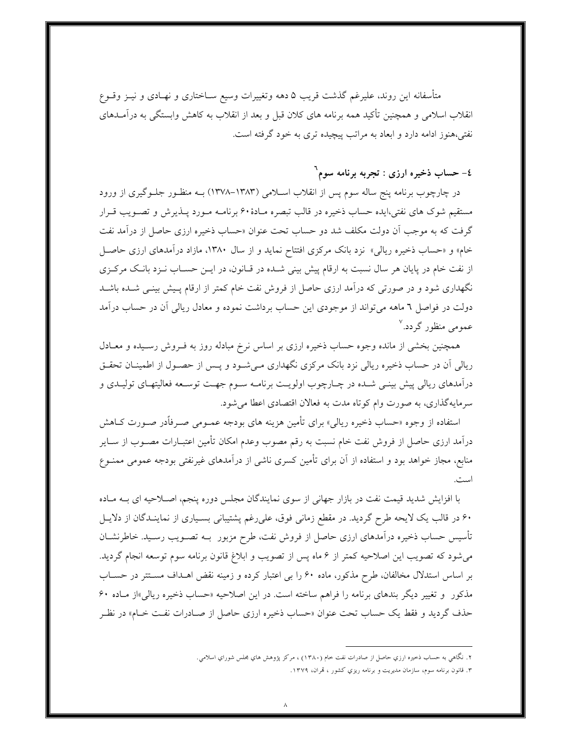متأسفانه این روند، علیرغم گذشت قریب ۵ دهه وتغییرات وسیع سـاختاری و نهــادی و نیــز وقــوع انقلاب اسلامی و همچنین تأکید همه برنامه های کلان قبل و بعد از انقلاب به کاهش وابستگی به درآمــدهای نفتی،هنوز ادامه دارد و ابعاد به مراتب پیچیده تری به خود گرفته است.

## ٤- حساب ذخيره ارزى : تجربه برنامه سوم`

در چارچوب برنامه پنج ساله سوم پس از انقلاب اسـلامی (۱۳۸۳–۱۳۷۸) بــه منظــور جلــوگیری از ورود مستقیم شوک های نفتی،ایده حساب ذخیره در قالب تبصره مـادهٔ۶۰ برنامـه مـورد پــذیرش و تصـویب قــرار گرفت که به موجب اَن دولت مکلف شد دو حساب تحت عنوان «حساب ذخیره ارزی حاصل از درآمد نفت خام» و «حساب ذخیره ریالی» نزد بانک مرکزی افتتاح نماید و از سال ۱۳۸۰، مازاد درآمدهای ارزی حاصـل از نفت خام در پایان هر سال نسبت به ارقام پیش بینی شـده در قـانون، در ایــن حســاب نــزد بانـک مرکــزی نگهداری شود و در صورتی که درآمد ارزی حاصل از فروش نفت خام کمتر از ارقام پـیش بینـی شـده باشـد دولت در فواصل ٦ ماهه میتواند از موجودی این حساب برداشت نموده و معادل ریالی آن در حساب درآمد عمومی منظور گردد.<sup>۷</sup>

همچنین بخشی از مانده وجوه حساب ذخیره ارزی بر اساس نرخ مبادله روز به فـروش رسـیده و معـادل ریالی آن در حساب ذخیره ریالی نزد بانک مرکزی نگهداری مـیشـود و پـس از حصـول از اطمینـان تحقـق درأمدهای ریالی پیش بینـی شـده در چـارچوب اولویـت برنامــه ســوم جهــت توســعه فعالیتهــای تولیــدی و سرمايهگذاري، به صورت وام كوتاه مدت به فعالان اقتصادي اعطا مي شود.

استفاده از وجوه «حساب ذخیره ریالی» برای تأمین هزینه های بودجه عمـومی صـرفأدر صـورت کــاهش درآمد ارزی حاصل از فروش نفت خام نسبت به رقم مصوب وعدم امکان تأمین اعتبــارات مصــوب از ســایر منابع، مجاز خواهد بود و استفاده از آن برای تأمین کسری ناشی از درآمدهای غیرنفتی بودجه عمومی ممنــوع است.

با افزایش شدید قیمت نفت در بازار جهانی از سوی نمایندگان مجلس دوره پنجم، اصـلاحیه ای بــه مــاده ۶۰ در قالب یک لایحه طرح گردید. در مقطع زمانی فوق، علیرغم پشتیبانی بسـیاری از نماینـدگان از دلایــل تأسیس حساب ذخیره درآمدهای ارزی حاصل از فروش نفت، طرح مزبور بــه تصـویب رسـید. خاطرنشــان می شود که تصویب این اصلاحیه کمتر از ۶ ماه پس از تصویب و ابلاغ قانون برنامه سوم توسعه انجام گردید. بر اساس استدلال مخالفان، طرح مذکور، ماده ۶۰ را بی اعتبار کرده و زمینه نقض اهـداف مسـتتر در حسـاب مذکور و تغییر دیگر بندهای برنامه را فراهم ساخته است. در این اصلاحیه «حساب ذخیره ریالی»از مـاده ۶۰ حذف گرديد و فقط يک حساب تحت عنوان «حساب ذخيره ارزي حاصل از صـادرات نفـت خــام» در نظـر

۲. نگاهی به حساب ذخیره ارزي حاصل از صادرات نفت حام (۱۳۸۰) ، مرکز پژوهش هاي مجلس شوراي اسلامي.

۳. قانون برنامه سوم، سازمان مدیریت و برنامه ریزی کشور ، قمران، ۱۳۷۹.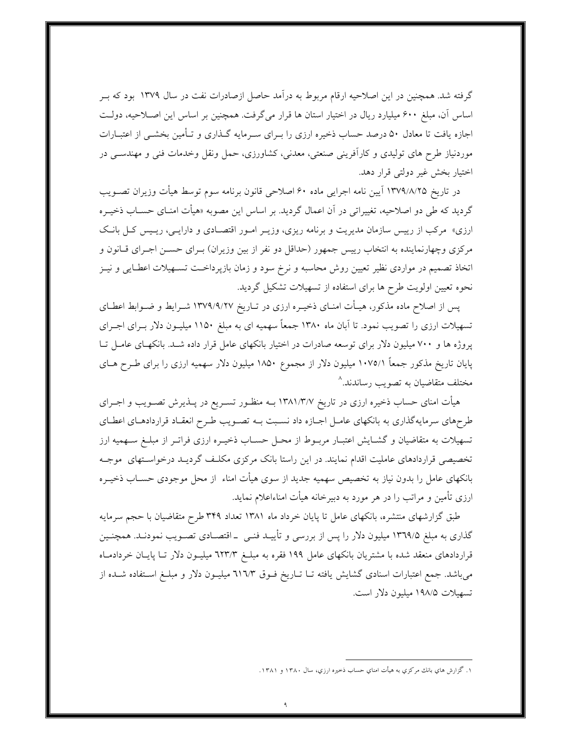گرفته شد. همچنین در این اصلاحیه ارقام مربوط به درآمد حاصل ازصادرات نفت در سال ۱۳۷۹ بود که بــر اساس آن، مبلغ ۶۰۰ میلیارد ریال در اختیار استان ها قرار میگرفت. همچنین بر اساس این اصلاحیه، دولت اجازه یافت تا معادل ۵۰ درصد حساب ذخیره ارزی را بـرای سـرمایه گـذاری و تـأمین بخشـی از اعتبــارات موردنیاز طرح های تولیدی و کارآفرینی صنعتی، معدنی، کشاورزی، حمل ونقل وخدمات فنی و مهندسـی در اختيار بخش غير دولتي قرار دهد.

در تاريخ ١٣٧٩/٨/٢٥ آيين نامه اجرايي ماده ۶۰ اصلاحي قانون برنامه سوم توسط هيأت وزيران تصـويب گردید که طی دو اصلاحیه، تغییراتی در آن اعمال گردید. بر اساس این مصوبه «هیأت امنـای حسـاب ذخیـره ارزی» مرکب از رییس سازمان مدیریت و برنامه ریزی، وزیـر امـور اقتصـادی و دارایـبی، ریـیس کـل بانـک مرکزی وچهارنماینده به انتخاب رییس جمهور (حداقل دو نفر از بین وزیران) بـرای حســن اجــرای قــانون و اتخاذ تصمیم در مواردی نظیر تعیین روش محاسبه و نرخ سود و زمان بازپرداخـت تسـهیلات اعطـایی و نیــز نحوه تعیین اولویت طرح ها برای استفاده از تسهیلات تشکیل گردید.

پس از اصلاح ماده مذکور، هیـأت امنـای ذخیـره ارزی در تـاریخ ١٣٧٩/٩/٢٧ شــرایط و ضــوابط اعطـای تسهیلات ارزی را تصویب نمود. تا آبان ماه ۱۳۸۰ جمعاً سهمیه ای به مبلغ ۱۱۵۰ میلیـون دلار بــرای اجــرای یروژه ها و ۷۰۰ میلیون دلار برای توسعه صادرات در اختیار بانکهای عامل قرار داده شـد. بانکهـای عامـل تـا پایان تاریخ مذکور جمعاً ۱۰۷۵/۱ میلیون دلار از مجموع ۱۸۵۰ میلیون دلار سهمیه ارزی را برای طـرح هــای مختلف متقاضیان به تصویب رساندند.^

هیأت امنای حساب ذخیره ارزی در تاریخ ۱۳۸۱/۳/۷ بــه منظــور تســریع در پــذیرش تصــویب و اجــرای طرحهای سرمایهگذاری به بانکهای عامـل اجـازه داد نسـبت بــه تصـویب طـرح انعقـاد قراردادهـای اعطـای تسهیلات به متقاضیان و گشـایش اعتبـار مربــوط از محــل حســاب ذخیــره ارزی فراتــر از مبلــغ ســهمیه ارز تخصیصی قراردادهای عاملیت اقدام نمایند. در این راستا بانک مرکزی مکلـف گردیـد درخواسـتهای موجـه بانکهای عامل را بدون نیاز به تخصیص سهمیه جدید از سوی هیأت امناء از محل موجودی حســاب ذخیــره ارزی تأمین و مراتب را در هر مورد به دبیرخانه هیأت امناءاعلام نماید.

طبق گزارشهای منتشره، بانکهای عامل تا پایان خرداد ماه ۱۳۸۱ تعداد ۳۴۹ طرح متقاضیان با حجم سرمایه گذاری به مبلغ ۱۳٦۹/۵ میلیون دلار را پس از بررسی و تأییـد فنـی \_ اقتصـادی تصـویب نمودنـد. همچنـین قراردادهای منعقد شده با مشتریان بانکهای عامل ۱۹۹ فقره به مبلـغ ٦٢٣/٣ میلیـون دلار تـا پایـان خردادمـاه میباشد. جمع اعتبارات اسنادی گشایش یافته تـا تـاریخ فـوق ٦١٦/٣ میلیـون دلار و مبلـغ اسـتفاده شــده از تسهيلات ١٩٨/٥ ميليون دلار است.

۱. گزارش هاي بانك مركزي به هيأت امناي حساب ذخيره ارزي، سال ۱۳۸۰ و ۱۳۸۱.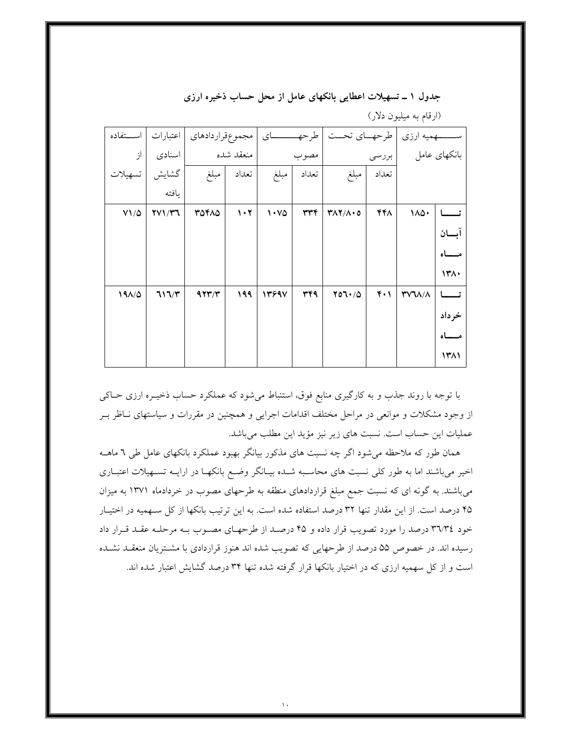| استفاده     | اعتبارات |        |                                 |       |       | طرحهــاي تحــت          |       | ـهمیه ارزي    |       |
|-------------|----------|--------|---------------------------------|-------|-------|-------------------------|-------|---------------|-------|
| از          | اسنادى   |        | منعقد شده                       |       | مصوب  |                         | بررسى | بانكهاي عامل  |       |
| تسهيلات     | گشايش    | ا مبلغ | تعداد                           | مبلغ  | تعداد | مبلغ                    | تعداد |               |       |
|             | يافته    |        |                                 |       |       |                         |       |               |       |
| $V1/\Delta$ | YV1/Y7   | 30410  | $\mathcal{N} \cdot \mathcal{N}$ | ۱۰۷۵  | ٣٣٤   | $Y\Lambda Y/\Lambda$ .0 | ۴۴۸   | 110.          |       |
|             |          |        |                                 |       |       |                         |       |               | ابسان |
|             |          |        |                                 |       |       |                         |       |               |       |
|             |          |        |                                 |       |       |                         |       |               | 1٣٨٠  |
| 191/0       | 717/T    | 477/T  | ۱۹۹                             | 13997 | 344   | Y07.70                  | ۴۰۱   | <b>TVJA/A</b> |       |
|             |          |        |                                 |       |       |                         |       |               | خرداد |
|             |          |        |                                 |       |       |                         |       |               |       |
|             |          |        |                                 |       |       |                         |       |               | ۱۳۸۱  |

جدول ۱ ــ تسهیلات اعطایی بانکهای عامل از محل حساب ذخیره ارزی

(ارقام به میلیون دلار)

با توجه با روند جذب و به کارگیری منابع فوق، استنباط میشود که عملکرد حساب ذخیـره ارزی حـاکی از وجود مشکلات و موانعی در مراحل مختلف اقدامات اجرایی و همچنین در مقررات و سیاستهای نـاظر بـر عملیات این حساب است. نسبت های زیر نیز مؤید این مطلب میباشد.

همان طور که ملاحظه میشود اگر چه نسبت های مذکور بیانگر بهبود عملکرد بانکهای عامل طی ٦ ماهــه اخیر میباشند اما به طور کلی نسبت های محاسبه شـده بیـانگر وضـع بانکهـا در ارایــه تسـهیلات اعتبـاری میباشند. به گونه ای که نسبت جمع مبلغ قراردادهای منطقه به طرحهای مصوب در خردادماه ۱۳۷۱ به میزان ۴۵ درصد است. از این مقدار تنها ۳۲ درصد استفاده شده است. به این ترتیب بانکها از کل سـهمیه در اختیـار خود ٣٦/٣٤ درصد را مورد تصويب قرار داده و ۴۵ درصـد از طرحهـاي مصـوب بـه مرحلـه عقـد قـرار داد رسیده اند. در خصوص ۵۵ درصد از طرحهایی که تصویب شده اند هنوز قراردادی با مشتریان منعقـد نشـده است و از کل سهمیه ارزی که در اختیار بانکها قرار گرفته شده تنها ۳۴ درصد گشایش اعتبار شده اند.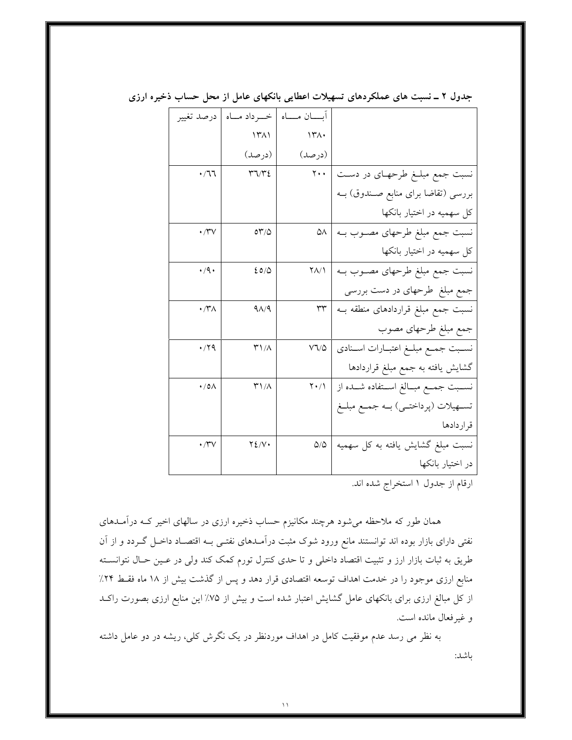|                                         | آبسان مساه                    | خب داد میاه                     | درصد تغيير          |
|-----------------------------------------|-------------------------------|---------------------------------|---------------------|
|                                         | ۱۳۸۰                          | $\Upsilon$                      |                     |
|                                         | (درصد)                        | (درصد)                          |                     |
| نسبت جمع مبلـغ طرحهـای در دسـت          | $\mathbf{y} \cdot \mathbf{y}$ | $\Upsilon \Upsilon / \Upsilon$  | $\cdot$ /77         |
| بررسی (تقاضا برای منابع صـندوق) بــه    |                               |                                 |                     |
| کل سهمیه در اختیار بانکها               |                               |                                 |                     |
| نسبت جمع مبلغ طرحهای مصــوب بــه        | ۵۸                            | $\circ \tau / \circ$            | $\cdot$ /۳ $\vee$   |
| کل سهمیه در اختیار بانکها               |                               |                                 |                     |
| نسبت جمع مبلغ طرحهای مصـوب بــه         | ۲۸/۱                          | 20/0                            | $\cdot$ /9.         |
| جمع مبلغ طرحهای در دست بررسی            |                               |                                 |                     |
| نسبت جمع مبلغ قراردادهای منطقه بــه     | $\tau\tau$                    | $9\Lambda/9$                    | $\cdot$ /۳ $\wedge$ |
| جمع مبلغ طرحهای مصوب                    |                               |                                 |                     |
| نسـبت جمـع مبلــغ اعتبــارات اســنادى   | V7/4                          | ۳۱/۸                            | $\cdot$ /۲۹         |
| گشایش یافته به جمع مبلغ قراردادها       |                               |                                 |                     |
| نســبت جمــع مبــالغ اســتفاده شــده از | $\mathsf{Y} \cdot \mathsf{Y}$ | $\mathsf{r}\setminus\mathsf{r}$ | $\cdot$ /0 $\wedge$ |
| تســهيلات (پرداختــي) بــه جمـع مبلــغ  |                               |                                 |                     |
| قر اردادها                              |                               |                                 |                     |
| نسبت مبلغ گشایش یافته به کل سهمیه       | $\Delta/\Delta$               | YZ/V                            | $\cdot$ /۳ $\vee$   |
| در اختیار بانکها                        |                               |                                 |                     |
|                                         |                               |                                 |                     |

جدول ۲ ــ نسبت های عملکردهای تسهیلات اعطایی بانکهای عامل از محل حساب ذخیره ارزی

ارقام از جدول ۱ استخراج شده اند.

همان طور که ملاحظه می شود هرچند مکانیزم حساب ذخیره ارزی در سالهای اخیر کـه درآمـدهای نفتی دارای بازار بوده اند توانستند مانع ورود شوک مثبت درآمـدهای نفتـی بـه اقتصـاد داخـل گـردد و از آن طریق به ثبات بازار ارز و تثبیت اقتصاد داخلی و تا حدی کنترل تورم کمک کند ولی در عـین حـال نتوانسـته منابع ارزی موجود را در خدمت اهداف توسعه اقتصادی قرار دهد و پس از گذشت بیش از ۱۸ ماه فقـط ۲۴٪ از کل مبالغ ارزی برای بانکهای عامل گشایش اعتبار شده است و بیش از ۷۵٪ این منابع ارزی بصورت راکـد و غير فعال مانده است.

به نظر می رسد عدم موفقیت کامل در اهداف موردنظر در یک نگرش کلی، ریشه در دو عامل داشته باشد: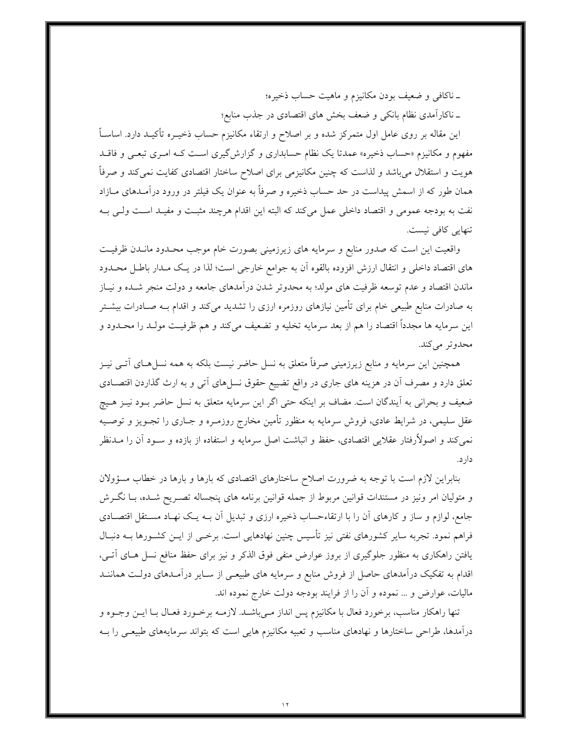ـ ناكافي و ضعيف بودن مكانيزم و ماهيت حساب ذخيره؛ ـ ناكارآمدي نظام بانكي و ضعف بخش هاي اقتصادي در جذب منابع؛

این مقاله بر روی عامل اول متمرکز شده و بر اصلاح و ارتقاء مکانیزم حساب ذخیــره تأکیــد دارد. اساســاً مفهوم و مکانیزم «حساب ذخیره» عمدتا یک نظام حسابداری و گزارش گیری است کـه امـری تبعـی و فاقــد هویت و استقلال میباشد و لذاست که چنین مکانیزمی برای اصلاح ساختار اقتصادی کفایت نمیکند و صرفاً همان طور که از اسمش پیداست در حد حساب ذخیره و صرفاً به عنوان یک فیلتر در ورود درآمـدهای مــازاد نفت به بودجه عمومي و اقتصاد داخلي عمل مي كند كه البته اين اقدام هرچند مثبت و مفيـد اسـت ولـي بــه تنهایی کافی نیست.

واقعیت این است که صدور منابع و سرمایه های زیرزمینی بصورت خام موجب محـدود مانـدن ظرفیـت های اقتصاد داخلی و انتقال ارزش افزوده بالقوه آن به جوامع خارجی است؛ لذا در یـک مـدار باطـل محـدود ماندن اقتصاد و عدم توسعه ظرفیت های مولد؛ به محدوتر شدن درآمدهای جامعه و دولت منجر شـده و نیــاز به صادرات منابع طبیعی خام برای تأمین نیازهای روزمره ارزی را تشدید میکند و اقدام بــه صـادرات بیشــتر اين سرمايه ها مجدداً اقتصاد را هم از بعد سرمايه تخليه و تضعيف ميكند و هم ظرفيـت مولـد را محـدود و محدوتر مي كند.

همچنین این سرمایه و منابع زیرزمینی صرفاً متعلق به نسل حاضر نیست بلکه به همه نسل(سای اتــی نیــز تعلق دارد و مصرف آن در هزینه های جاری در واقع تضییع حقوق نسل۵ای آتی و به ارث گذاردن اقتصـادی ضعیف و بحرانی به آیندگان است. مضاف بر اینکه حتی اگر این سرمایه متعلق به نسل حاضر بـود نیــز هــیچ عقل سلیمی، در شرایط عادی، فروش سرمایه به منظور تأمین مخارج روزمـره و جـاری را تجـویز و توصـیه نمی کند و اصولاًرفتار عقلایی اقتصادی، حفظ و انباشت اصل سرمایه و استفاده از بازده و ســود آن را مــدنظر دار د.

بنابراین لازم است با توجه به ضرورت اصلاح ساختارهای اقتصادی که بارها و بارها در خطاب مسؤولان و متولیان امر ونیز در مستندات قوانین مربوط از جمله قوانین برنامه های پنجساله تصـریح شـده، بـا نگـرش جامع، لوازم و ساز و کارهای آن را با ارتقاءحساب ذخیره ارزی و تبدیل آن بــه یــک نهـاد مسـتقل اقتصــادی فراهم نمود. تجربه سایر کشورهای نفتی نیز تأسیس چنین نهادهایی است. برخـی از ایــن کشــورها بــه دنبــال یافتن راهکاری به منظور جلوگیری از بروز عوارض منفی فوق الذکر و نیز برای حفظ منافع نسل هـای آتـی، اقدام به تفکیک درآمدهای حاصل از فروش منابع و سرمایه های طبیعـی از ســایر درآمــدهای دولــت هماننــد ماليات، عوارض و … نموده و آن را از فرايند بودجه دولت خارج نموده اند.

تنها راهکار مناسب، برخورد فعال با مکانیزم پس انداز مـیباشـد. لازمـه برخـورد فعـال بـا ايــن وجــوه و درآمدها، طراحی ساختارها و نهادهای مناسب و تعبیه مکانیزم هایی است که بتواند سرمایههای طبیعـی را بــه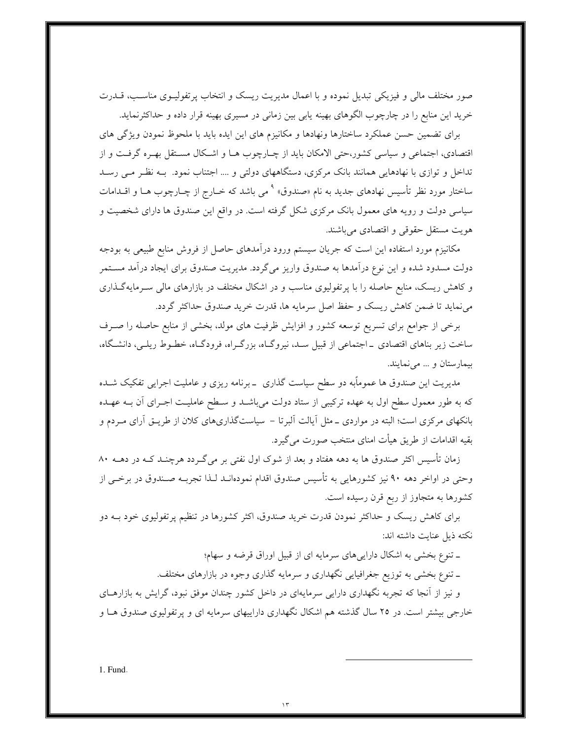صور مختلف مالی و فیزیکی تبدیل نموده و با اعمال مدیریت ریسک و انتخاب پرتفولیــوی مناســب، قــدرت خرید این منابع را در چارچوب الگوهای بهینه یابی بین زمانی در مسیری بهینه قرار داده و حداکثرنماید.

برای تضمین حسن عملکرد ساختارها ونهادها و مکانیزم های این ایده باید با ملحوظ نمودن ویژگی های اقتصادی، اجتماعی و سیاسی کشور،حتی الامکان باید از چـارچوب هـا و اشـكال مسـتقل بهـره گرفـت و از تداخل و توازی با نهادهایی همانند بانک مرکزی، دستگاههای دولتی و .... اجتناب نمود. بـه نظـر مـی رسـد ساختار مورد نظر تأسیس نهادهای جدید به نام «صندوق» <sup>۹</sup> می باشد که خــارج از چــارچوب هــا و اقــدامات سیاسی دولت و رویه های معمول بانک مرکزی شکل گرفته است. در واقع این صندوق ها دارای شخصیت و هويت مستقل حقوقي و اقتصادي مي باشند.

مکانیزم مورد استفاده این است که جریان سیستم ورود درآمدهای حاصل از فروش منابع طبیعی به بودجه دولت مسدود شده و این نوع درآمدها به صندوق واریز میگردد. مدیریت صندوق برای ایجاد درآمد مسـتمر و کاهش ریسک، منابع حاصله را با پرتفولیوی مناسب و در اشکال مختلف در بازارهای مالی سـرمایهگـذاری می نماید تا ضمن کاهش ریسک و حفظ اصل سرمایه ها، قدرت خرید صندوق حداکثر گردد.

برخی از جوامع برای تسریع توسعه کشور و افزایش ظرفیت های مولد، بخشی از منابع حاصله را صـرف ساخت زیر بناهای اقتصادی \_اجتماعی از قبیل سـد، نیروگـاه، بزرگـراه، فرودگـاه، خطـوط ریلـی، دانشـگاه، بیمارستان و … می نمایند.

مدیریت این صندوق ها عموماًبه دو سطح سیاست گذاری \_برنامه ریزی و عاملیت اجرایی تفکیک شــده که به طور معمول سطح اول به عهده ترکیبی از ستاد دولت می باشـد و سـطح عاملیـت اجـرای آن بــه عهـده بانکهای مرکزی است؛ البته در مواردی ــ مثل آیالت آلبرتا – سیاستگذاریهای کلان از طریــق آرای مــردم و بقيه اقدامات از طريق هيأت امناي منتخب صورت مي گيرد.

زمان تأسیس اکثر صندوق ها به دهه هفتاد و بعد از شوک اول نفتی بر میگردد هرچنـد کــه در دهــه ۸۰ وحتی در اواخر دهه ۹۰ نیز کشورهایی به تأسیس صندوق اقدام نمودهانـد لـذا تجربــه صـندوق در برخــی از کشورها به متجاوز از ربع قرن رسیده است.

برای کاهش ریسک و حداکثر نمودن قدرت خرید صندوق، اکثر کشورها در تنظیم پرتفولیوی خود بـه دو نكته ذيل عنايت داشته اند:

ـ تنوع بخشی به اشکال داراییهای سرمایه ای از قبیل اوراق قرضه و سهام؛

ـ تنوع بخشي به توزيع جغرافيايي نگهداري و سرمايه گذاري وجوه در بازارهاي مختلف.

و نیز از آنجا که تجربه نگهداری دارایی سرمایهای در داخل کشور چندان موفق نبود، گرایش به بازارهـای خارجی بیشتر است. در ۲۵ سال گذشته هم اشکال نگهداری داراییهای سرمایه ای و پرتفولیوی صندوق هـا و

1. Fund.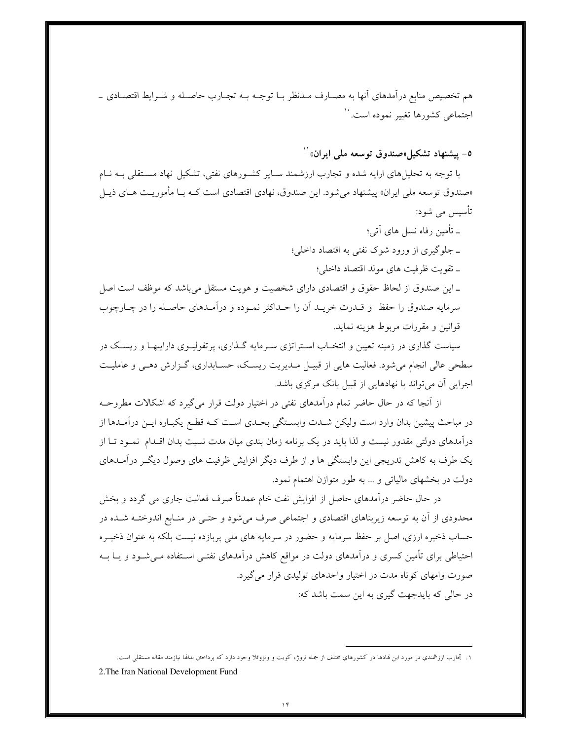هم تخصیص منابع درآمدهای آنها به مصـارف مـدنظر بــا توجــه بــه تجــارب حاصــله و شــرايط اقتصــادی ــ اجتماعی کشورها تغییر نموده است.<sup>۱۰</sup>

٥- پیشنهاد تشکیل«صندوق توسعه مل<sub>ی</sub> ایران»<sup>۱۱</sup>

با توجه به تحلیلهای ارایه شده و تجارب ارزشمند سـایر کشـورهای نفتی، تشکیل نهاد مسـتقلی بـه نـام «صندوق توسعه ملي ايران» پيشنهاد مي¢شود. اين صندوق، نهادي اقتصادي است كـه بــا مأموريــت هــاي ذيــل تأسیس می شود:

۔ تأمین رفاہ نسل های آتی؛ ـ جلوگیری از ورود شوک نفتی به اقتصاد داخلی؛ ـ تقويت ظرفيت هاى مولد اقتصاد داخلي؛ \_این صندوق از لحاظ حقوق و اقتصادی دارای شخصیت و هویت مستقل می باشد که موظف است اصل سرمايه صندوق را حفظ و قــدرت خريــد أن را حــداكثر نمــوده و درآمــدهاي حاصــله را در چــارچوب قوانين و مقررات مربوط هزينه نمايد.

سیاست گذاری در زمینه تعیین و انتخـاب اسـتراتژی سـرمایه گـذاری، پرتفولیـوی داراییهـا و ریسـک در سطحی عالی انجام می شود. فعالیت هایی از قبیـل مـدیریت ریسـک، حسـابداری، گـزارش دهـی و عاملیـت اجرایی آن می تواند با نهادهایی از قبیل بانک مرکزی باشد.

از آنجا که در حال حاضر تمام درآمدهای نفتی در اختیار دولت قرار می گیرد که اشکالات مطروحـه در مباحث پیشین بدان وارد است ولیکن شـدت وابسـتگی بحـدی اسـت کـه قطـع یکبـاره ایـن درآمـدها از درآمدهای دولتی مقدور نیست و لذا باید در یک برنامه زمان بندی میان مدت نسبت بدان اقــدام نمــود تــا از یک طرف به کاهش تدریجی این وابستگی ها و از طرف دیگر افزایش ظرفیت های وصول دیگـر درآمـدهای دولت در بخشهای مالیاتی و … به طور متوازن اهتمام نمود.

در حال حاضر درآمدهای حاصل از افزایش نفت خام عمدتاً صرف فعالیت جاری می گردد و بخش محدودی از آن به توسعه زیربناهای اقتصادی و اجتماعی صرف میشود و حتـبی در منـابع اندوختـه شـده در حساب ذخیره ارزی، اصل بر حفظ سرمایه و حضور در سرمایه های ملی پربازده نیست بلکه به عنوان ذخیـره احتیاطی برای تأمین کسری و درآمدهای دولت در مواقع کاهش درآمدهای نفتــی اسـتفاده مــیشــود و یــا بــه صورت وامهای کوتاه مدت در اختیار واحدهای تولیدی قرار می گیرد. در حالی که بایدجهت گیری به این سمت باشد که:

۱. تجارب ارزشمندي در مورد اين نمادها در كشورهاي مختلف از جمله نروژ، كويت و ونزوئلا وجود دارد كه پرداختن بدالها نيازمند مقاله مستقلي است.

<sup>2.</sup> The Iran National Development Fund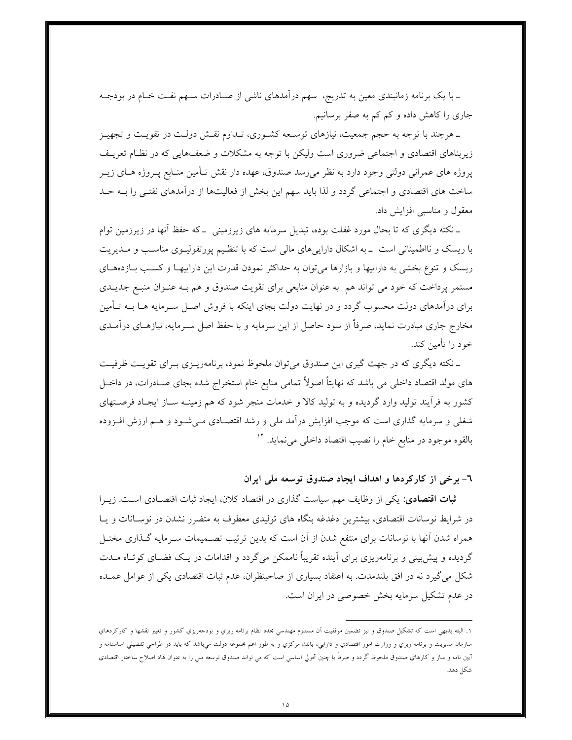ـ با یک برنامه زمانبندی معین به تدریج، سهم درآمدهای ناشی از صــادرات ســهم نفــت خــام در بودجــه جاری را کاهش داده و کم کم به صفر برسانیم.

ـ هرچند با توجه به حجم جمعیت، نیازهای توسـعه کشـوری، تـداوم نقـش دولـت در تقویـت و تجهیـز زیربناهای اقتصادی و اجتماعی ضروری است ولیکن با توجه به مشکلات و ضعفهایی که در نظـام تعریـف پروژه های عمرانی دولتی وجود دارد به نظر میرسد صندوق، عهده دار نقش تـأمین منـابع پـروژه هـای زیـر ساخت های اقتصادی و اجتماعی گردد و لذا باید سهم این بخش از فعالیتها از درآمدهای نفتـی را بـه حـد معقول و مناسبی افزایش داد.

ــ نکته دیگری که تا بحال مورد غفلت بوده، تبدیل سرمایه های زیرزمینی \_ که حفظ آنها در زیرزمین توام با ریسک و نااطمینانی است \_ به اشکال داراییهای مالی است که با تنظیم پورتفولیـوی مناسـب و مـدیریت ریسک و تنوع بخشی به داراییها و بازارها میتوان به حداکثر نمودن قدرت این داراییها و کسب بـازدههـای مستمر پرداخت که خود می تواند هم به عنوان منابعی برای تقویت صندوق و هم بـه عنـوان منبـع جدیــدی برای درآمدهای دولت محسوب گردد و در نهایت دولت بجای اینکه با فروش اصـل سـرمایه هـا بــه تـأمین مخارج جاری مبادرت نماید، صرفاً از سود حاصل از این سرمایه و با حفظ اصل سـرمایه، نیازهـای درآمـدی خود را تأمین کند.

ـ نکته دیگری که در جهت گیری این صندوق میتوان ملحوظ نمود، برنامهریـزی بـرای تقویـت ظرفیـت های مولد اقتصاد داخلی می باشد که نهایتاً اصولاً تمامی منابع خام استخراج شده بجای صـادرات، در داخــل کشور به فرآیند تولید وارد گردیده و به تولید کالا و خدمات منجر شود که هم زمینــه ســاز ایجـاد فرصــتهای شغل<sub>ی</sub> و سرمایه گذاری است که موجب افزایش درآمد مل<sub>ی</sub> و رشد اقتصـادی مـیشــود و هــم ارزش افــزوده بالقوه موجود در منابع خام را نصيب اقتصاد داخلي مي نمايد. ``

٦- برخي از كاركردها و اهداف ايجاد صندوق توسعه ملي ايران

ثبات اقتصادی: یکی از وظایف مهم سیاست گذاری در اقتصاد کلان، ایجاد ثبات اقتصـادی اسـت. زیــرا در شرایط نوسانات اقتصادی، بیشترین دغدغه بنگاه های تولیدی معطوف به متضرر نشدن در نوسـانات و پـا همراه شدن آنها با نوسانات برای منتفع شدن از آن است که بدین ترتیب تصـمیمات سـرمایه گـذاری مختـل گردیده و پیش بینی و برنامهریزی برای آینده تقریباً ناممکن میگردد و اقدامات در یک فضـای کوتـاه مــدت شکل می گیرد نه در افق بلندمدت. به اعتقاد بسیاری از صاحبنظران، عدم ثبات اقتصادی یکی از عوامل عمـده در عدم تشکیل سرمایه بخش خصوصی در ایران است.

۱. البته بدیهی است که تشکیل صندوق و نیز تضمین موفقیت آن مستلزم مهندسی بحدد نظام برنامه ریزی و وجومبریزی کشور و تغییر نقشها و کارکردهای سازمان مديريت و برنامه ريزي و وزارت امور اقتصادي و دارايي، بانك مركزي و به طور اعم بحموعه دولت مي،باشد كه بايد در طراحي تفصيلي اساسنامه و آيين نامه و ساز و كارهاي صندوق ملحوظ گردد و صرفاً با چنين تحولي اساسي است كه مي تواند صندوق توسعه ملي را به عنوان نماد اصلاح ساعتار اقتصادي شكل دهد.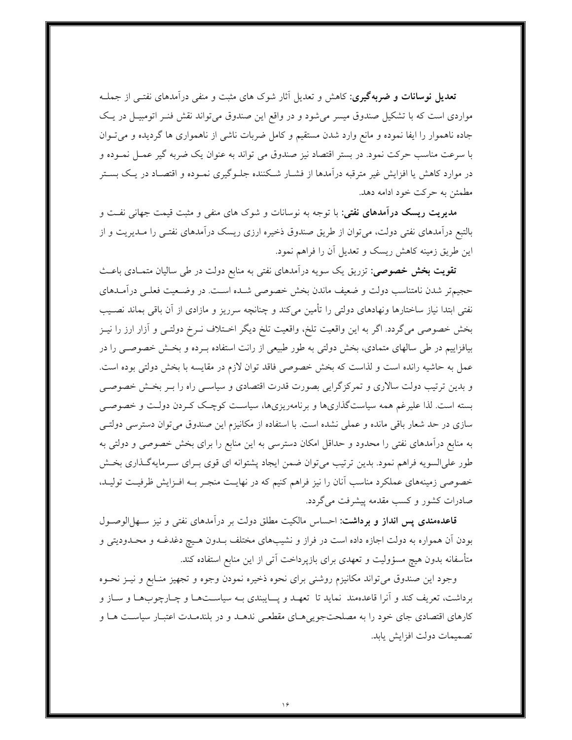<mark>تعدیل نوسانات و ضربهگیری</mark>: کاهش و تعدیل آثار شوک های مثبت و منفی درآمدهای نفتـی از جملــه مواردی است که با تشکیل صندوق میسر می شود و در واقع این صندوق می تواند نقش فنـر اتومبیـل در یـک جاده ناهموار را ایفا نموده و مانع وارد شدن مستقیم و کامل ضربات ناشی از ناهمواری ها گردیده و میتوان با سرعت مناسب حرکت نمود. در بستر اقتصاد نیز صندوق می تواند به عنوان یک ضربه گیر عمــل نمــوده و در موارد کاهش یا افزایش غیر مترقبه درآمدها از فشـار شـکننده جلـوگیری نمـوده و اقتصـاد در یـک بسـتر مطمئن به حرکت خود ادامه دهد.

مدیریت ریسک درآمدهای نفتی: با توجه به نوسانات و شوک های منفی و مثبت قیمت جهانی نفـت و بالتبع درآمدهای نفتی دولت، میٍتوان از طریق صندوق ذخیره ارزی ریسک درآمدهای نفتـی را مــدیریت و از این طریق زمینه کاهش ریسک و تعدیل آن را فراهم نمود.

**تقویت بخش خصوصی**: تزریق یک سویه درآمدهای نفتی به منابع دولت در طی سالیان متمـادی باعـث حجیمتر شدن نامتناسب دولت و ضعیف ماندن بخش خصوصی شـده اسـت. در وضـعیت فعلـی درآمـدهای نفتی ابتدا نیاز ساختارها ونهادهای دولتی را تأمین میکند و چنانچه سرریز و مازادی از آن باقی بماند نصـیب بخش خصوصی میگردد. اگر به این واقعیت تلخ، واقعیت تلخ دیگر اخـتلاف نــرخ دولتــی و آزار ارز را نیــز بیافزاییم در طی سالهای متمادی، بخش دولتی به طور طبیعی از رانت استفاده بـرده و بخـش خصوصـی را در عمل به حاشیه رانده است و لذاست که بخش خصوصی فاقد توان لازم در مقایسه با بخش دولتی بوده است. و بدین ترتیب دولت سالاری و تمرکزگرایی بصورت قدرت اقتصادی و سیاسـی راه را بــر بخـش خصوصــی بسته است. لذا علیرغم همه سیاستگذاریها و برنامهریزیها، سیاست کوچک کـردن دولـت و خصوصـی سازی در حد شعار باقی مانده و عملی نشده است. با استفاده از مکانیزم این صندوق میتوان دسترسی دولتـی به منابع درآمدهای نفتی را محدود و حداقل امکان دسترسی به این منابع را برای بخش خصوصی و دولتی به طور علىالسويه فراهم نمود. بدين ترتيب مي توان ضمن ايجاد پشتوانه اي قوي بـراي سـرمايهگـذاري بخـش خصوصی زمینههای عملکرد مناسب أنان را نیز فراهم کنیم که در نهایـت منجـر بـه افــزایش ظرفیـت تولیــد، صادرات کشور و کسب مقدمه پیشرفت می گردد.

قاعدهمندی پس انداز و برداشت: احساس مالکیت مطلق دولت بر درآمدهای نفتی و نیز سـهلالوصـول بودن آن همواره به دولت اجازه داده است در فراز و نشیبهای مختلف بـدون هـیچ دغدغـه و محـدودیتی و متأسفانه بدون هیچ مسؤولیت و تعهدی برای بازپرداخت آتی از این منابع استفاده کند.

وجود این صندوق میتواند مکانیزم روشنی برای نحوه ذخیره نمودن وجوه و تجهیز منـابع و نیــز نحــوه برداشت، تعریف کند و آنرا قاعدهمند نماید تا تعهـد و پــایبندی بـه سیاسـتهـا و چـارچوبهـا و سـاز و کارهای اقتصادی جای خود را به مصلحتجویی هـای مقطعـی ندهـد و در بلندمـدت اعتبـار سیاسـت هـا و تصميمات دولت افزايش يابد.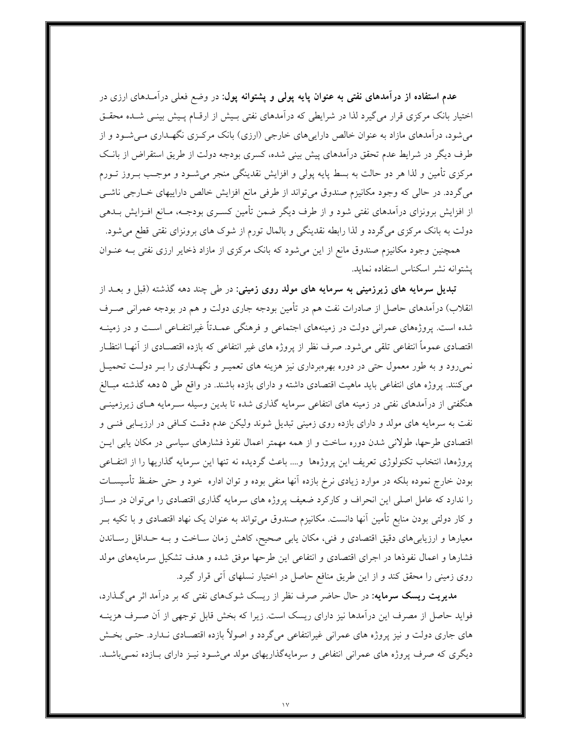**عدم استفاده از درآمدهای نفتی به عنوان پایه پولی و پشتوانه پول**: در وضع فعلی درآمـدهای ارزی در اختیار بانک مرکزی قرار می گیرد لذا در شرایطی که درآمدهای نفتی بـیش از ارقـام پـیش بینـی شـده محقــق میشود، درآمدهای مازاد به عنوان خالص داراییهای خارجی (ارزی) بانک مرکـزی نگهـداری مـیشـود و از طرف دیگر در شرایط عدم تحقق درآمدهای پیش بینی شده، کسری بودجه دولت از طریق استقراض از بانـک مرکزی تأمین و لذا هر دو حالت به بسط پایه پولی و افزایش نقدینگی منجر میشــود و موجـب بــروز تــورم میگردد. در حالی که وجود مکانیزم صندوق میتواند از طرفی مانع افزایش خالص داراییهای خـارجی ناشـی از افزایش برونزای درآمدهای نفتی شود و از طرف دیگر ضمن تأمین کسـری بودجـه، مـانع افــزایش بــدهی دولت به بانک مرکزی میگردد و لذا رابطه نقدینگی و بالمال تورم از شوک های برونزای نقتی قطع می شود.

همچنین وجود مکانیزم صندوق مانع از این میشود که بانک مرکزی از مازاد ذخایر ارزی نفتی بـه عنــوان يشتوانه نشر اسكناس استفاده نمايد.

تبدیل سرمایه های زیرزمینی به سرمایه های مولد روی زمینی: در ط<sub>ی</sub> چند دهه گذشته (قبل و بعـد از انقلاب) درآمدهای حاصل از صادرات نفت هم در تأمین بودجه جاری دولت و هم در بودجه عمرانی صـرف شده است. پروژههای عمرانی دولت در زمینههای اجتماعی و فرهنگی عمـدتاً غیرانتفـاعی اسـت و در زمینــه اقتصادی عموماً انتفاعی تلقی میشود. صرف نظر از پروژه های غیر انتفاعی که بازده اقتصـادی از آنهــا انتظــار نمیرود و به طور معمول حتی در دوره بهرهبرداری نیز هزینه های تعمیـر و نگهـداری را بـر دولـت تحمیـل می کنند. پروژه های انتفاعی باید ماهیت اقتصادی داشته و دارای بازده باشند. در واقع طی ۵ دهه گذشته مبـالغ هنگفتی از درآمدهای نفتی در زمینه های انتفاعی سرمایه گذاری شده تا بدین وسیله سـرمایه هـای زیرزمینــی نفت به سرمایه های مولد و دارای بازده روی زمینی تبدیل شوند ولیکن عدم دقت کـافی در ارزیـابی فنــی و اقتصادی طرحها، طولانی شدن دوره ساخت و از همه مهمتر اعمال نفوذ فشارهای سیاسی در مکان پایی ایس پروژهها، انتخاب تکنولوژی تعریف این پروژهها و.... باعث گردیده نه تنها این سرمایه گذاریها را از انتفـاعی بودن خارج نموده بلکه در موارد زیادی نرخ بازده آنها منفی بوده و توان اداره خود و حتی حفـظ تأسیســات را ندارد که عامل اصلی این انحراف و کارکرد ضعیف پروژه های سرمایه گذاری اقتصادی را می توان در سـاز و کار دولتی بودن منابع تأمین آنها دانست. مکانیزم صندوق میٍ تواند به عنوان یک نهاد اقتصادی و با تکیه بــر معیارها و ارزیابیهای دقیق اقتصادی و فنی، مکان یابی صحیح، کاهش زمان سـاخت و بـه حـداقل رسـاندن فشارها و اعمال نفوذها در اجراى اقتصادى و انتفاعى اين طرحها موفق شده و هدف تشكيل سرمايههاى مولد روی زمینی را محقق کند و از این طریق منافع حاصل در اختیار نسلهای آتی قرار گیرد.

مدیریت ریسک سرمایه: در حال حاضر صرف نظر از ریسک شوکهای نفتی که بر درآمد اثر میگذارد، فواید حاصل از مصرف این درآمدها نیز دارای ریسک است. زیرا که بخش قابل توجهی از آن صـرف هزینــه های جاری دولت و نیز پروژه های عمرانی غیرانتفاعی میگردد و اصولاً بازده اقتصـادی نـدارد. حتــی بخــش دیگری که صرف پروژه های عمرانی انتفاعی و سرمایهگذاریهای مولد میشود نیـز دارای بـازده نمـیباشـد.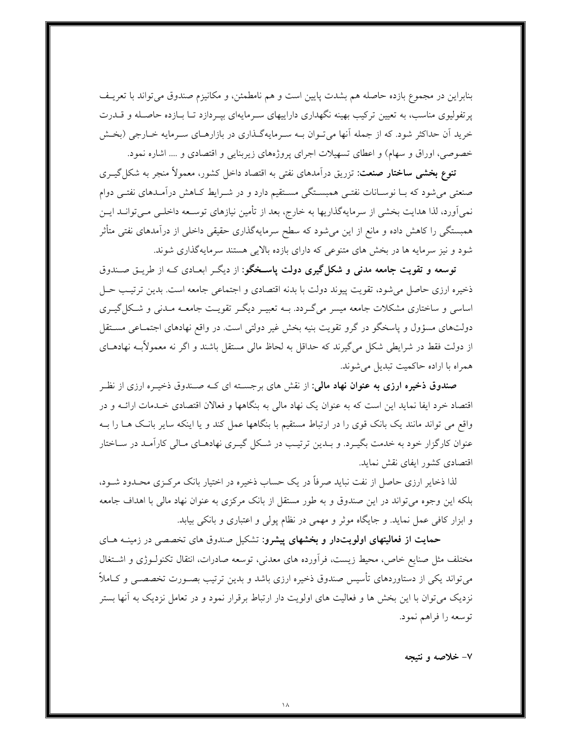بنابراین در مجموع بازده حاصله هم بشدت پایین است و هم نامطمئن، و مکانیزم صندوق میتواند با تعریــف پرتفولیوی مناسب، به تعیین ترکیب بهینه نگهداری داراییهای سـرمایهای بپـردازد تـا بـازده حاصـله و قــدرت خرید آن حداکثر شود. که از جمله آنها می تـوان بــه سـرمایهگـذاری در بازارهــای سـرمایه خــارجی (بخـش خصوصی، اوراق و سهام) و اعطای تسهیلات اجرای پروژههای زیربنایی و اقتصادی و .... اشاره نمود.

**تنوع بخشی ساختار صنعت**: تزریق درآمدهای نفتی به اقتصاد داخل کشور، معمولاً منجر به شکل گیــری صنعتی میشود که بـا نوسـانات نفتـی همبسـتگی مسـتقیم دارد و در شــرایط کـاهش درآمـدهای نفتـی دوام نمي اَورد، لذا هدايت بخشي از سرمايهگذاريها به خارج، بعد از تأمين نيازهاي توسـعه داخلـي مـيتوانـد ايـن همبستگی را کاهش داده و مانع از این می شود که سطح سرمایهگذاری حقیقی داخلی از درآمدهای نفتی متأثر شود و نیز سرمایه ها در بخش های متنوعی که دارای بازده بالایی هستند سرمایهگذاری شوند.

توسعه و تقویت جامعه مدنی و شکل گیری دولت پاسخگو: از دیگر ابعـادی کـه از طریــق صــندوق ذخیره ارزی حاصل می شود، تقویت پیوند دولت با بدنه اقتصادی و اجتماعی جامعه است. بدین ترتیب حـل اساسی و ساختاری مشکلات جامعه میسر میگـردد. بــه تعبیــر دیگــر تقویــت جامعــه مــدنی و شــکل گیــری دولتهای مسؤول و پاسخگو در گرو تقویت بنیه بخش غیر دولتی است. در واقع نهادهای اجتمـاعی مسـتقل از دولت فقط در شرایطی شکل میگیرند که حداقل به لحاظ مالی مستقل باشند و اگر نه معمولأبــه نهادهــای همراه با اراده حاکمیت تبدیل می شوند.

**صندوق ذخیره ارزی به عنوان نهاد مالی**: از نقش های برجسـته ای کــه صــندوق ذخیــره ارزی از نظــر اقتصاد خرد ایفا نماید این است که به عنوان یک نهاد مالی به بنگاهها و فعالان اقتصادی خـدمات ارائــه و در واقع می تواند مانند یک بانک قوی را در ارتباط مستقیم با بنگاهها عمل کند و یا اینکه سایر بانـک هــا را بــه عنوان کارگزار خود به خدمت بگیـرد. و بـدین ترتیـب در شـکل گیـری نهادهـای مـالی کارآمـد در سـاختار اقتصادی کشور ایفای نقش نماید.

لذا ذخایر ارزی حاصل از نفت نباید صرفاً در یک حساب ذخیره در اختیار بانک مرکـزی محـدود شــود، بلکه این وجوه میتواند در این صندوق و به طور مستقل از بانک مرکزی به عنوان نهاد مالی با اهداف جامعه و ابزار کافی عمل نماید. و جایگاه موثر و مهمی در نظام پولی و اعتباری و بانکی بیابد.

حمایت از فعالیتهای اولویتدار و بخشهای پیشرو: تشکیل صندوق های تخصصی در زمینه های مختلف مثل صنایع خاص، محیط زیست، فرأورده های معدنی، توسعه صادرات، انتقال تکنولــوژی و اشــتغال میتواند یکی از دستاوردهای تأسیس صندوق ذخیره ارزی باشد و بدین ترتیب بصـورت تخصصـی و کــاملاً نزدیک می توان با این بخش ها و فعالیت های اولویت دار ارتباط برقرار نمود و در تعامل نزدیک به آنها بستر توسعه را فراهم نمود.

۷– خلاصه و نتیجه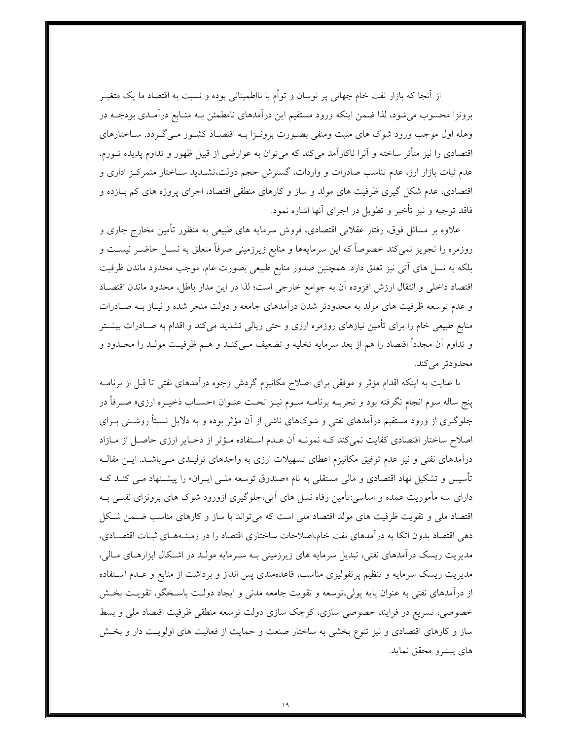از آنجا که بازار نفت خام جهانی پر نوسان و توأم با نااطمینانی بوده و نسبت به اقتصاد ما یک متغیــر برونزا محسوب می شود، لذا ضمن اینکه ورود مستقیم این درآمدهای نامطمئن بـه منـابع درآمـدی بودجـه در وهله اول موجب ورود شوک های مثبت ومنفی بصـورت برونـزا بـه اقتصـاد کشـور مـی گـردد. سـاختارهای اقتصادی را نیز متأثر ساخته و آنرا ناکارآمد میکند که میتوان به عوارضی از قبیل ظهور و تداوم پدیده تــورم، عدم ثبات بازار ارز، عدم تناسب صادرات و واردات، گسترش حجم دولت،تشــدید ســاختار متمرکــز اداری و اقتصادی، عدم شکل گیری ظرفیت های مولد و ساز و کارهای منطقی اقتصاد، اجرای پروژه های کم بـازده و فاقد توجيه و نيز تأخير و تطويل در اجراي آنها اشاره نمود.

علاوه بر مسائل فوق، رفتار عقلایی اقتصادی، فروش سرمایه های طبیعی به منظور تأمین مخارج جاری و روزمره را تجویز نمیکند خصوصاً که این سرمایهها و منابع زیرزمینی صرفاً متعلق به نســل حاضــر نیســت و بلکه به نسل های آتی نیز تعلق دارد. همچنین صدور منابع طبیعی بصورت عام، موجب محدود ماندن ظرفیت اقتصاد داخلي و انتقال ارزش افزوده آن به جوامع خارجي است؛ لذا در اين مدار باطل، محدود ماندن اقتصـاد و عدم توسعه ظرفیت های مولد به محدودتر شدن درآمدهای جامعه و دولت منجر شده و نیـاز بــه صـادرات منابع طبیعی خام را برای تأمین نیازهای روزمره ارزی و حتی ریالی تشدید میکند و اقدام به صـادرات بیشــتر و تداوم أن مجدداً اقتصاد را هم از بعد سرمايه تخليه و تضعيف مـي كنـد و هـم ظرفيـت مولـد را محـدود و محدودتر مي كند.

با عنایت به اینکه اقدام مؤثر و موفقی برای اصلاح مکانیزم گردش وجوه درآمدهای نفتی تا قبل از برنامــه ينج ساله سوم انجام نگرفته بود و تجربــه برنامــه ســوم نيــز تحــت عنــوان «حســاب ذخيــره ارزي» صــرفاً در جلوگیری از ورود مستقیم درآمدهای نفتی و شوکهای ناشی از آن مؤثر بوده و به دلایل نسبتاً روشـنی بــرای اصلاح ساختار اقتصادی کفایت نمیکند کـه نمونـه آن عـدم اسـتفاده مـؤثر از ذخـایر ارزی حاصـل از مـازاد درآمدهای نفتی و نیز عدم توفیق مکانیزم اعطای تسهیلات ارزی به واحدهای تولیـدی مـیباشـد. ایــن مقالــه تأسیس و تشکیل نهاد اقتصادی و مال<sub>ی</sub> مستقل<sub>ی</sub> به نام «صندوق توسعه ملـّـی ایــران» را پیشــنهاد مـّـی کنــد کــه دارای سه مأموریت عمده و اساسی:تأمین رفاه نسل های آتی،جلوگیری ازورود شوک های برونزای نفتــی بــه اقتصاد ملی و تقویت ظرفیت های مولد اقتصاد ملی است که می تواند با ساز و کارهای مناسب ضـمن شـکل دهی اقتصاد بدون اتکا به درآمدهای نفت خام،اصلاحات ساختاری اقتصاد را در زمینـههـای ثبـات اقتصـادی، مدیریت ریسک درآمدهای نفتی، تبدیل سرمایه های زیرزمینی بــه ســرمایه مولــد در اشــکال ابزارهــای مــالی، مدیریت ریسک سرمایه و تنظیم پرتفولیوی مناسب، قاعدهمندی پس انداز و برداشت از منابع و عـدم اسـتفاده از درآمدهای نفتی به عنوان پایه پولی،توسعه و تقویت جامعه مدنی و ایجاد دولت پاسـخگو، تقویـت بخـش خصوصی، تسریع در فرایند خصوصی سازی، کوچک سازی دولت توسعه منطقی ظرفیت اقتصاد ملی و بسط ساز و کارهای اقتصادی و نیز تنوع بخشی به ساختار صنعت و حمایت از فعالیت های اولویـت دار و بخـش های پیشرو محقق نماید.